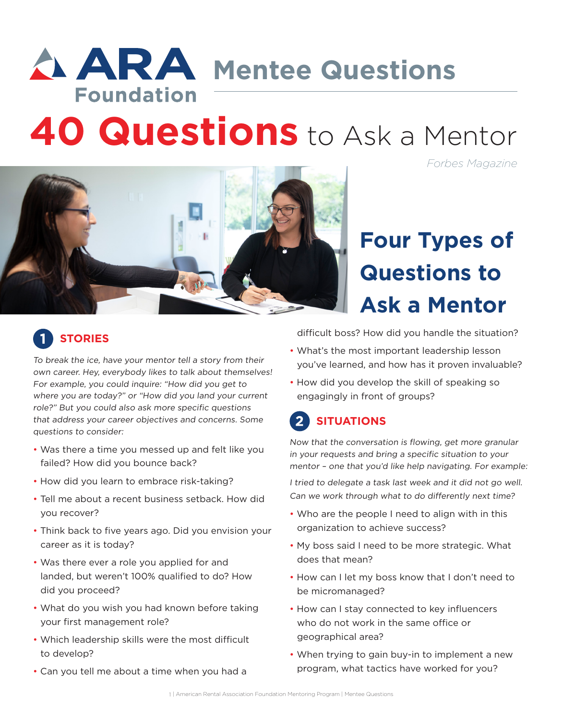

# **40 Questions** to Ask a Mentor

*Forbes Magazine*



# **Four Types of Questions to Ask a Mentor**

#### **STORIES**

To break the ice, have your mentor tell a story from their own career. Hey, everybody likes to talk about themselves! For example, you could inquire: "How did you get to where you are today?" or "How did you land your current role?" But you could also ask more specific questions that address your career objectives and concerns. Some questions to consider:

- Was there a time you messed up and felt like you failed? How did you bounce back?
- How did you learn to embrace risk-taking?
- Tell me about a recent business setback. How did you recover?
- Think back to five years ago. Did you envision your career as it is today?
- Was there ever a role you applied for and landed, but weren't 100% qualified to do? How did you proceed?
- What do you wish you had known before taking your first management role?
- Which leadership skills were the most difficult to develop?
- Can you tell me about a time when you had a

difficult boss? How did you handle the situation?

- What's the most important leadership lesson you've learned, and how has it proven invaluable?
- How did you develop the skill of speaking so engagingly in front of groups?

## **SITUATIONS**

Now that the conversation is flowing, get more granular in your requests and bring a specific situation to your mentor – one that you'd like help navigating. For example:

I tried to delegate a task last week and it did not go well. Can we work through what to do differently next time?

- Who are the people I need to align with in this organization to achieve success?
- My boss said I need to be more strategic. What does that mean?
- How can I let my boss know that I don't need to be micromanaged?
- How can I stay connected to key influencers who do not work in the same office or geographical area?
- When trying to gain buy-in to implement a new program, what tactics have worked for you?